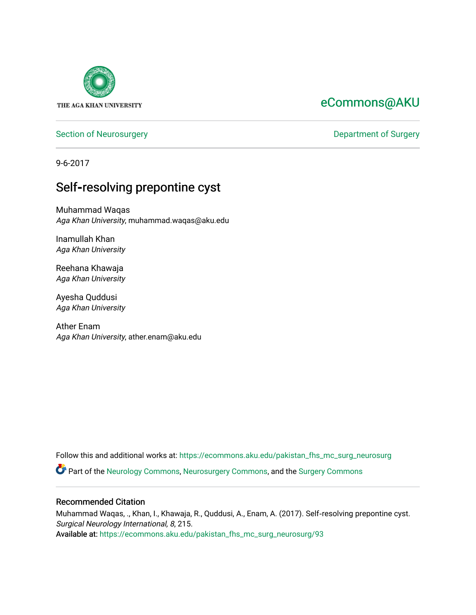

# [eCommons@AKU](https://ecommons.aku.edu/)

[Section of Neurosurgery](https://ecommons.aku.edu/pakistan_fhs_mc_surg_neurosurg) **Department of Surgery** Department of Surgery

9-6-2017

# Self**‑**resolving prepontine cyst

Muhammad Waqas Aga Khan University, muhammad.waqas@aku.edu

Inamullah Khan Aga Khan University

Reehana Khawaja Aga Khan University

Ayesha Quddusi Aga Khan University

Ather Enam Aga Khan University, ather.enam@aku.edu

Follow this and additional works at: [https://ecommons.aku.edu/pakistan\\_fhs\\_mc\\_surg\\_neurosurg](https://ecommons.aku.edu/pakistan_fhs_mc_surg_neurosurg?utm_source=ecommons.aku.edu%2Fpakistan_fhs_mc_surg_neurosurg%2F93&utm_medium=PDF&utm_campaign=PDFCoverPages) 

Part of the [Neurology Commons](http://network.bepress.com/hgg/discipline/692?utm_source=ecommons.aku.edu%2Fpakistan_fhs_mc_surg_neurosurg%2F93&utm_medium=PDF&utm_campaign=PDFCoverPages), [Neurosurgery Commons](http://network.bepress.com/hgg/discipline/1428?utm_source=ecommons.aku.edu%2Fpakistan_fhs_mc_surg_neurosurg%2F93&utm_medium=PDF&utm_campaign=PDFCoverPages), and the [Surgery Commons](http://network.bepress.com/hgg/discipline/706?utm_source=ecommons.aku.edu%2Fpakistan_fhs_mc_surg_neurosurg%2F93&utm_medium=PDF&utm_campaign=PDFCoverPages) 

### Recommended Citation

Muhammad Waqas, ., Khan, I., Khawaja, R., Quddusi, A., Enam, A. (2017). Self‑resolving prepontine cyst. Surgical Neurology International, 8, 215.

Available at: [https://ecommons.aku.edu/pakistan\\_fhs\\_mc\\_surg\\_neurosurg/93](https://ecommons.aku.edu/pakistan_fhs_mc_surg_neurosurg/93)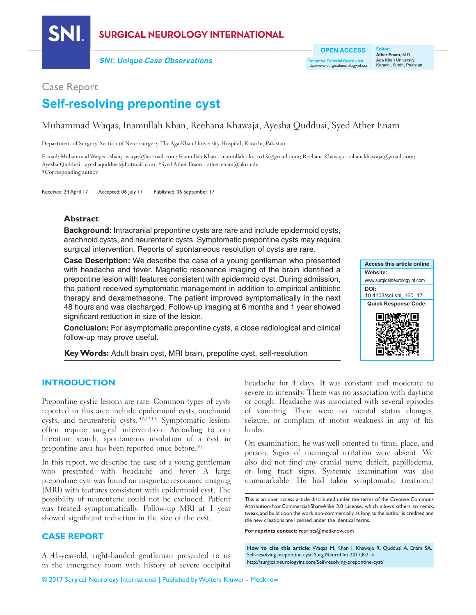

## **SURGICAL NEUROLOGY INTERNATIONAL**

**SNI: Unique Case Observations**

**For entire Editorial Board visit :** http://www.surgicalneurologyint.com

**Editor: Ather Enam,** M.D., Aga Khan University, Karachi, Sindh, Pakistan

## Case Report

# **Self‑resolving prepontine cyst**

## Muhammad Waqas, Inamullah Khan, Reehana Khawaja, Ayesha Quddusi, Syed Ather Enam

Department of Surgery, Section of Neurosurgery, The Aga Khan University Hospital, Karachi, Pakistan

E‑mail: Muhammad Waqas ‑ shaiq\_waqas@hotmail.com; Inamullah Khan ‑ inamullah.aku.co15@gmail.com; Reehana Khawaja ‑ rihanakhawaja@gmail.com; Ayesha Quddusi ‑ ayeshaquddusi@hotmail.com; \*Syed Ather Enam ‑ ather.enam@aku.edu \*Corresponding author

Received: 24 April 17 Accepted: 06 July 17 Published: 06 September 17

#### **Abstract**

**Background:** Intracranial prepontine cysts are rare and include epidermoid cysts, arachnoid cysts, and neurenteric cysts. Symptomatic prepontine cysts may require surgical intervention. Reports of spontaneous resolution of cysts are rare.

**Case Description:** We describe the case of a young gentleman who presented with headache and fever. Magnetic resonance imaging of the brain identified a prepontine lesion with features consistent with epidermoid cyst. During admission, the patient received symptomatic management in addition to empirical antibiotic therapy and dexamethasone. The patient improved symptomatically in the next 48 hours and was discharged. Follow‑up imaging at 6 months and 1 year showed significant reduction in size of the lesion.

**Conclusion:** For asymptomatic prepontine cysts, a close radiological and clinical follow‑up may prove useful.

Key Words: Adult brain cyst, MRI brain, prepotine cyst, self-resolution



#### **INTRODUCTION**

Prepontine cystic lesions are rare. Common types of cysts reported in this area include epidermoid cysts, arachnoid cysts, and neurenteric cysts.[4,6,12,14] Symptomatic lesions often require surgical intervention. According to our literature search, spontaneous resolution of a cyst in prepontine area has been reported once before.[8]

In this report, we describe the case of a young gentleman who presented with headache and fever. A large prepontine cyst was found on magnetic resonance imaging (MRI) with features consistent with epidermoid cyst. The possibility of neurenteric could not be excluded. Patient was treated symptomatically. Follow-up MRI at 1 year showed significant reduction in the size of the cyst.

#### **CASE REPORT**

A 41‑year‑old, right‑handed gentleman presented to us in the emergency room with history of severe occipital

headache for 4 days. It was constant and moderate to severe in intensity. There was no association with daytime or cough. Headache was associated with several episodes of vomiting. There were no mental status changes, seizure, or complain of motor weakness in any of his limbs.

On examination, he was well oriented to time, place, and person. Signs of meningeal irritation were absent. We also did not find any cranial nerve deficit, papilledema, or long tract signs. Systemic examination was also unremarkable. He had taken symptomatic treatment

**For reprints contact:** reprints@medknow.com

**How to cite this article:** Waqas M, Khan I, Khawaja R, Quddusi A, Enam SA. Self-resolving prepontine cyst. Surg Neurol Int 2017;8:215. http://surgicalneurologyint.com/Self-resolving-prepontine-cyst/

This is an open access article distributed under the terms of the Creative Commons Attribution-NonCommercial-ShareAlike 3.0 License, which allows others to remix, tweak, and build upon the work non-commercially, as long as the author is credited and the new creations are licensed under the identical terms.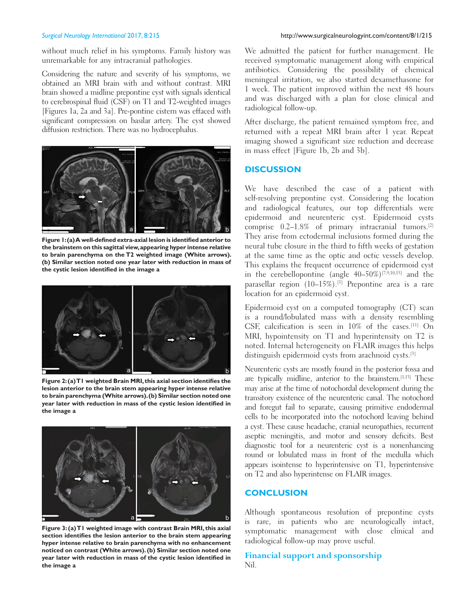without much relief in his symptoms. Family history was unremarkable for any intracranial pathologies.

Considering the nature and severity of his symptoms, we obtained an MRI brain with and without contrast. MRI brain showed a midline prepontine cyst with signals identical to cerebrospinal fluid (CSF) on T1 and T2‑weighted images [Figures 1a, 2a and 3a]. Pre‑pontine cistern was effaced with significant compression on basilar artery. The cyst showed diffusion restriction. There was no hydrocephalus.



**Figure 1: (a) A well-defined extra-axial lesion is identified anterior to the brainstem on this sagittal view, appearing hyper intense relative to brain parenchyma on the T2 weighted image (White arrows). (b) Similar section noted one year later with reduction in mass of the cystic lesion identified in the image a**



**Figure 2: (a) T1 weighted Brain MRI, this axial section identifies the lesion anterior to the brain stem appearing hyper intense relative to brain parenchyma (White arrows). (b) Similar section noted one year later with reduction in mass of the cystic lesion identified in the image a**



**Figure 3: (a) T1 weighted image with contrast Brain MRI, this axial section identifies the lesion anterior to the brain stem appearing hyper intense relative to brain parenchyma with no enhancement noticed on contrast (White arrows). (b) Similar section noted one year later with reduction in mass of the cystic lesion identified in the image a**

We admitted the patient for further management. He received symptomatic management along with empirical antibiotics. Considering the possibility of chemical meningeal irritation, we also started dexamethasone for 1 week. The patient improved within the next 48 hours and was discharged with a plan for close clinical and radiological follow‑up.

After discharge, the patient remained symptom free, and returned with a repeat MRI brain after 1 year. Repeat imaging showed a significant size reduction and decrease in mass effect [Figure 1b, 2b and 3b].

#### **DISCUSSION**

We have described the case of a patient with self-resolving prepontine cyst. Considering the location and radiological features, our top differentials were epidermoid and neurenteric cyst. Epidermoid cysts comprise 0.2–1.8% of primary intracranial tumors.[2] They arise from ectodermal inclusions formed during the neural tube closure in the third to fifth weeks of gestation at the same time as the optic and octic vessels develop. This explains the frequent occurrence of epidermoid cyst in the cerebellopontine (angle  $40-50\%$ )<sup>[7,9,10,15]</sup> and the parasellar region (10-15%).<sup>[5]</sup> Prepontine area is a rare location for an epidermoid cyst.

Epidermoid cyst on a computed tomography (CT) scan is a round/lobulated mass with a density resembling CSF, calcification is seen in 10% of the cases.[11] On MRI, hypointensity on T1 and hyperintensity on T2 is noted. Internal heterogeneity on FLAIR images this helps distinguish epidermoid cysts from arachnoid cysts.[3]

Neurenteric cysts are mostly found in the posterior fossa and are typically midline, anterior to the brainstem.[1,13] These may arise at the time of notochordal development during the transitory existence of the neurenteric canal. The notochord and foregut fail to separate, causing primitive endodermal cells to be incorporated into the notochord leaving behind a cyst. These cause headache, cranial neuropathies, recurrent aseptic meningitis, and motor and sensory deficits. Best diagnostic tool for a neurenteric cyst is a nonenhancing round or lobulated mass in front of the medulla which appears isointense to hyperintensive on T1, hyperintensive on T2 and also hyperintense on FLAIR images.

#### **CONCLUSION**

Although spontaneous resolution of prepontine cysts is rare, in patients who are neurologically intact, symptomatic management with close clinical and radiological follow‑up may prove useful.

#### **Financial support and sponsorship** Nil.